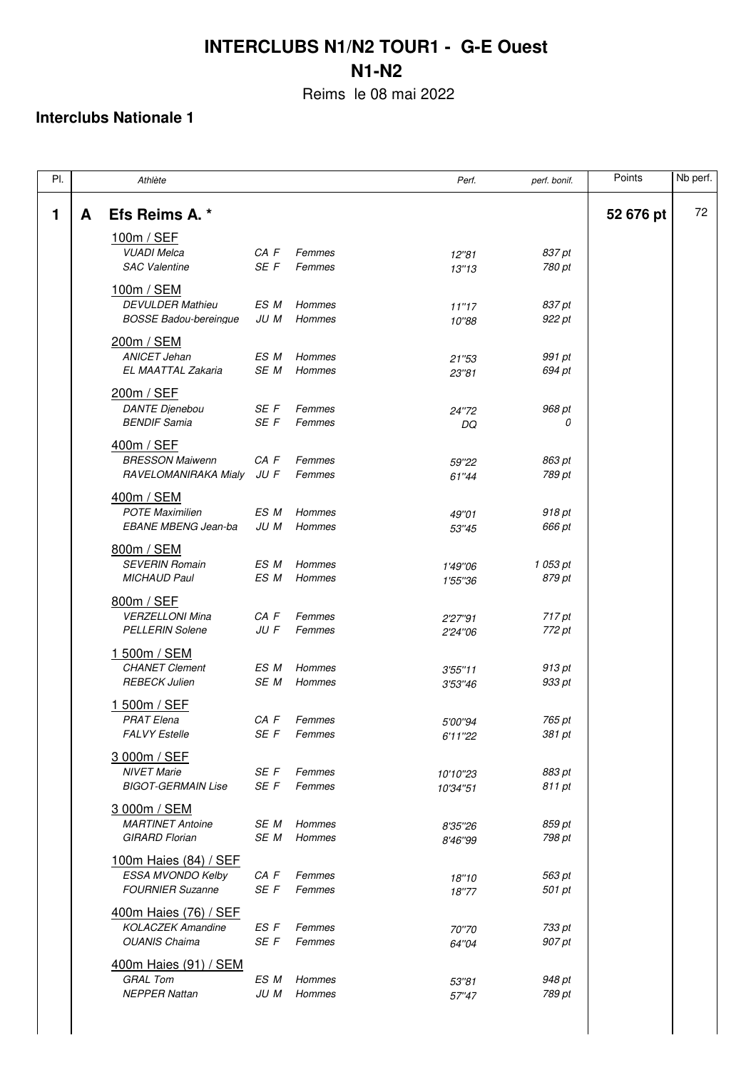Reims le 08 mai 2022

| PI.            |   | Athlète                                                                   |              |                  | Perf.                | perf. bonif.       | Points    | Nb perf. |
|----------------|---|---------------------------------------------------------------------------|--------------|------------------|----------------------|--------------------|-----------|----------|
| $\blacksquare$ | A | Efs Reims A. *                                                            |              |                  |                      |                    | 52 676 pt | 72       |
|                |   | 100m / SEF<br><b>VUADI Melca</b><br><b>SAC Valentine</b>                  | CA F<br>SE F | Femmes<br>Femmes | 12"81<br>13"13       | 837 pt<br>780 pt   |           |          |
|                |   | 100m / SEM<br><b>DEVULDER Mathieu</b><br><b>BOSSE Badou-bereingue</b>     | ES M<br>JU M | Hommes<br>Hommes | 11"17<br>10"88       | 837 pt<br>922 pt   |           |          |
|                |   | 200m / SEM<br><b>ANICET Jehan</b><br>EL MAATTAL Zakaria                   | ES M<br>SE M | Hommes<br>Hommes | 21"53<br>23"81       | 991 pt<br>694 pt   |           |          |
|                |   | 200m / SEF<br><b>DANTE Dienebou</b><br><b>BENDIF Samia</b>                | SE F<br>SE F | Femmes<br>Femmes | 24"72<br>DQ          | 968 pt<br>0        |           |          |
|                |   | 400m / SEF<br><b>BRESSON Maiwenn</b><br>RAVELOMANIRAKA Mialy              | CA F<br>JU F | Femmes<br>Femmes | 59"22<br>61"44       | 863 pt<br>789 pt   |           |          |
|                |   | 400m / SEM<br><b>POTE Maximilien</b>                                      | ES M         | Hommes           | 49"01                | 918 pt             |           |          |
|                |   | <b>EBANE MBENG Jean-ba</b><br>800m / SEM<br><b>SEVERIN Romain</b>         | JU M<br>ES M | Hommes<br>Hommes | 53"45<br>1'49"06     | 666 pt<br>1 053 pt |           |          |
|                |   | <b>MICHAUD Paul</b><br>800m / SEF<br><b>VERZELLONI Mina</b>               | ES M<br>CA F | Hommes<br>Femmes | 1'55"36<br>2'27"91   | 879 pt<br>717 pt   |           |          |
|                |   | <b>PELLERIN Solene</b><br>1 500m / SEM<br><b>CHANET Clement</b>           | JU F<br>ES M | Femmes<br>Hommes | 2'24"06<br>3'55''11  | 772 pt<br>913 pt   |           |          |
|                |   | <b>REBECK Julien</b><br>1 500m / SEF<br><b>PRAT Elena</b>                 | SE M<br>CA F | Hommes<br>Femmes | 3'53"46              | 933 pt<br>765 pt   |           |          |
|                |   | <b>FALVY Estelle</b><br>3 000m / SEF                                      | SE F         | Femmes           | 5'00"94<br>6'11"22   | 381 pt             |           |          |
|                |   | <b>NIVET Marie</b><br><b>BIGOT-GERMAIN Lise</b><br>3 000m / SEM           | SE F<br>SE F | Femmes<br>Femmes | 10'10"23<br>10'34"51 | 883 pt<br>811 pt   |           |          |
|                |   | <b>MARTINET Antoine</b><br><b>GIRARD Florian</b><br>100m Haies (84) / SEF | SE M<br>SE M | Hommes<br>Hommes | 8'35"26<br>8'46"99   | 859 pt<br>798 pt   |           |          |
|                |   | ESSA MVONDO Kelby<br><b>FOURNIER Suzanne</b>                              | CA F<br>SE F | Femmes<br>Femmes | 18"10<br>18"77       | 563 pt<br>501 pt   |           |          |
|                |   | 400m Haies (76) / SEF<br><b>KOLACZEK Amandine</b><br><b>OUANIS Chaima</b> | ES F<br>SE F | Femmes<br>Femmes | 70"70<br>64"04       | 733 pt<br>907 pt   |           |          |
|                |   | 400m Haies (91) / SEM<br><b>GRAL Tom</b><br><b>NEPPER Nattan</b>          | ES M<br>JU M | Hommes<br>Hommes | 53"81<br>57"47       | 948 pt<br>789 pt   |           |          |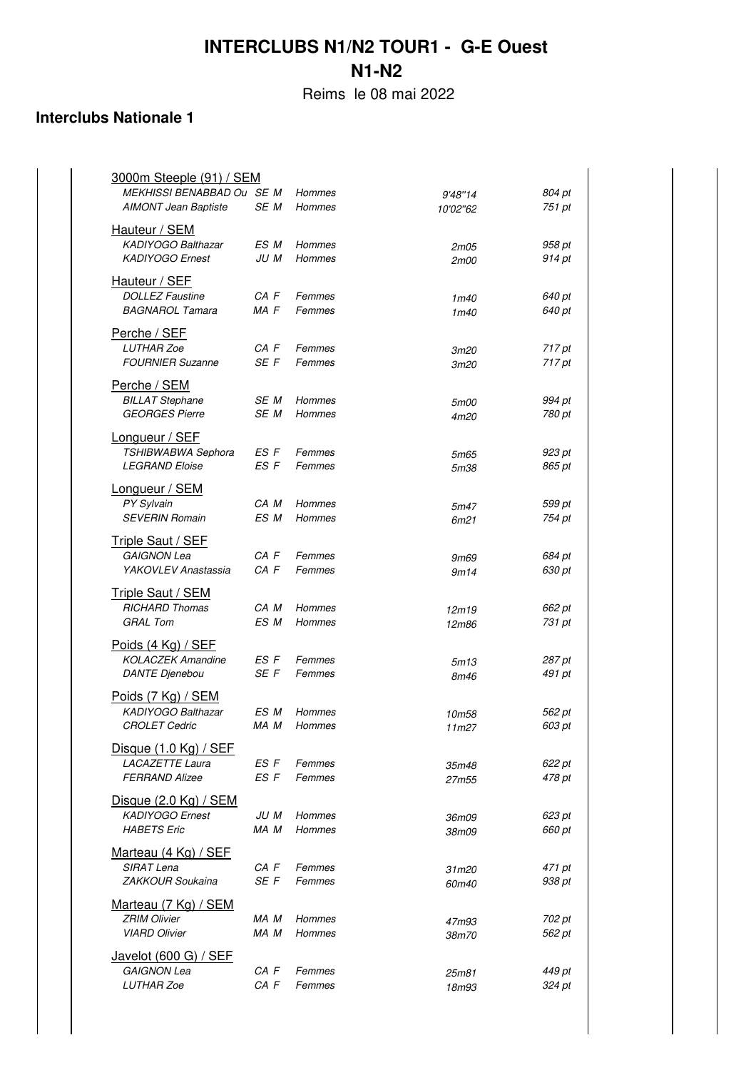Reims le 08 mai 2022

| 3000m Steeple (91) / SEM<br>MEKHISSI BENABBAD Ou SE M     |              | Hommes           | 9'48"14                  | 804 pt           |
|-----------------------------------------------------------|--------------|------------------|--------------------------|------------------|
| <b>AIMONT Jean Baptiste</b>                               | SE M         | Hommes           | 10'02"62                 | 751 pt           |
| Hauteur / SEM<br><b>KADIYOGO Balthazar</b>                | ES M         | Hommes           | 2m05                     | 958 pt           |
| <b>KADIYOGO Ernest</b>                                    | JU M         | Hommes           | 2m00                     | 914 pt           |
| Hauteur / SEF                                             |              |                  |                          |                  |
| <b>DOLLEZ Faustine</b><br><b>BAGNAROL Tamara</b>          | CA F<br>MA F | Femmes<br>Femmes | 1m40<br>1 <sub>m40</sub> | 640 pt<br>640 pt |
| Perche / SEF                                              |              |                  |                          |                  |
| <b>LUTHAR Zoe</b><br><b>FOURNIER Suzanne</b>              | CA F<br>SE F | Femmes<br>Femmes | <i>3m20</i><br>3m20      | 717 pt<br>717 pt |
| Perche / SEM                                              |              |                  |                          |                  |
| <b>BILLAT Stephane</b><br><b>GEORGES Pierre</b>           | SE M<br>SE M | Hommes<br>Hommes | 5m00                     | 994 pt<br>780 pt |
| Longueur / SEF                                            |              |                  | 4m20                     |                  |
| TSHIBWABWA Sephora                                        | ES F         | Femmes           | 5m65                     | 923 pt           |
| <b>LEGRAND Eloise</b>                                     | ES F         | Femmes           | <i>5m38</i>              | 865 pt           |
| Longueur / SEM<br><b>PY Sylvain</b>                       | CA M         | Hommes           | 5m47                     | 599 pt           |
| <b>SEVERIN Romain</b>                                     | ES M         | Hommes           | 6m21                     | 754 pt           |
| Triple Saut / SEF<br>GAIGNON Lea                          | CA F         | Femmes           |                          | 684 pt           |
| YAKOVLEV Anastassia                                       | CA F         | Femmes           | 9m69<br>9m14             | 630 pt           |
| <b>Triple Saut / SEM</b>                                  |              |                  |                          |                  |
| <b>RICHARD Thomas</b><br><b>GRAL Tom</b>                  | CA M<br>ES M | Hommes<br>Hommes | 12m19<br>12m86           | 662 pt<br>731 pt |
| Poids (4 Kg) / SEF                                        |              |                  |                          |                  |
| <b>KOLACZEK Amandine</b><br><b>DANTE Dienebou</b>         | ES F<br>SE F | Femmes<br>Femmes | 5m13<br>8m46             | 287 pt<br>491 pt |
| Poids (7 Kg) / SEM                                        |              |                  |                          |                  |
| KADIYOGO Balthazar                                        | ES M         | Hommes           | 10m58                    | 562 pt           |
| <b>CROLET Cedric</b>                                      | MA M         | Hommes           | 11 <sub>m27</sub>        | 603 pt           |
| Disque (1.0 Kg) / SEF<br>LACAZETTE Laura                  | ES F         | Femmes           | 35m48                    | 622 pt           |
| <b>FERRAND Alizee</b>                                     | ES F         | Femmes           | 27m55                    | 478 pt           |
| Disque $(2.0 \text{ Kg})$ / SEM<br><b>KADIYOGO Ernest</b> | JU M         | Hommes           | 36m09                    | 623 pt           |
| <b>HABETS</b> Eric                                        | MA M         | Hommes           | 38m09                    | 660 pt           |
| Marteau (4 Kg) / SEF                                      |              |                  |                          |                  |
| SIRAT Lena<br>ZAKKOUR Soukaina                            | CA F<br>SE F | Femmes<br>Femmes | 31m20<br>60m40           | 471 pt<br>938 pt |
| Marteau (7 Kg) / SEM                                      |              |                  |                          |                  |
| <b>ZRIM Olivier</b><br><b>VIARD Olivier</b>               | MA M<br>MA M | Hommes<br>Hommes | 47m93<br>38m70           | 702 pt<br>562 pt |
| Javelot (600 G) / SEF                                     |              |                  |                          |                  |
| GAIGNON Lea                                               | CA F         | Femmes           | 25m81                    | 449 pt           |
| LUTHAR Zoe                                                | CA F         | Femmes           | 18m93                    | 324 pt           |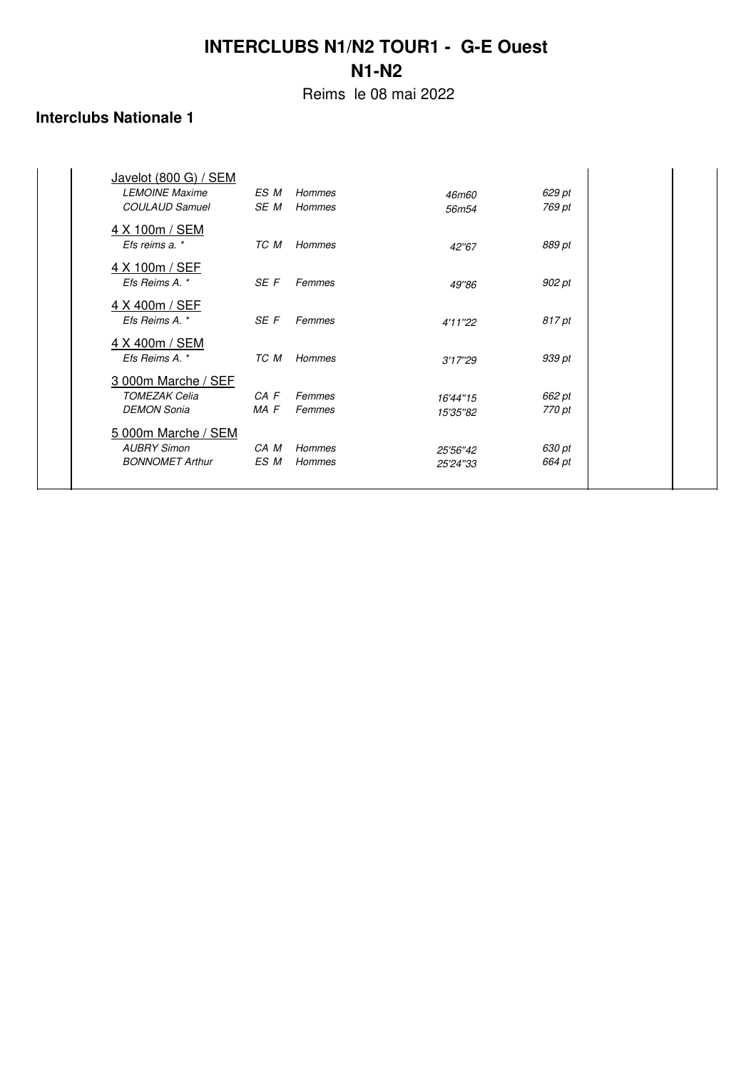Reims le 08 mai 2022

| Javelot (800 G) / SEM  |          |               |                   |        |  |
|------------------------|----------|---------------|-------------------|--------|--|
| <b>LEMOINE Maxime</b>  | ES M     | <b>Hommes</b> | 46m60             | 629 pt |  |
| <b>COULAUD Samuel</b>  | SE M     | <b>Hommes</b> | 56m <sub>54</sub> | 769 pt |  |
| 4 X 100m / SEM         |          |               |                   |        |  |
| Efs reims a. *         | TC M     | <b>Hommes</b> | 42"67             | 889 pt |  |
| 4 X 100m / SEF         |          |               |                   |        |  |
| Efs Reims A. *         | SE F     | Femmes        | 49"86             | 902 pt |  |
| 4 X 400m / SEF         |          |               |                   |        |  |
| Efs Reims A. *         | SE F     | Femmes        | 4'11"22           | 817 pt |  |
| 4 X 400m / SEM         |          |               |                   |        |  |
| Efs Reims A. *         | TC M     | Hommes        | 3'17''29          | 939 pt |  |
| 3 000m Marche / SEF    |          |               |                   |        |  |
| <b>TOMEZAK Celia</b>   | $CA$ $F$ | Femmes        | 16'44"15          | 662 pt |  |
| <b>DEMON Sonia</b>     | MA F     | Femmes        | 15'35"82          | 770 pt |  |
| 5 000m Marche / SEM    |          |               |                   |        |  |
| <b>AUBRY Simon</b>     | CA M     | <b>Hommes</b> | 25'56"42          | 630 pt |  |
| <b>BONNOMET Arthur</b> | ES M     | <b>Hommes</b> | 25'24"33          | 664 pt |  |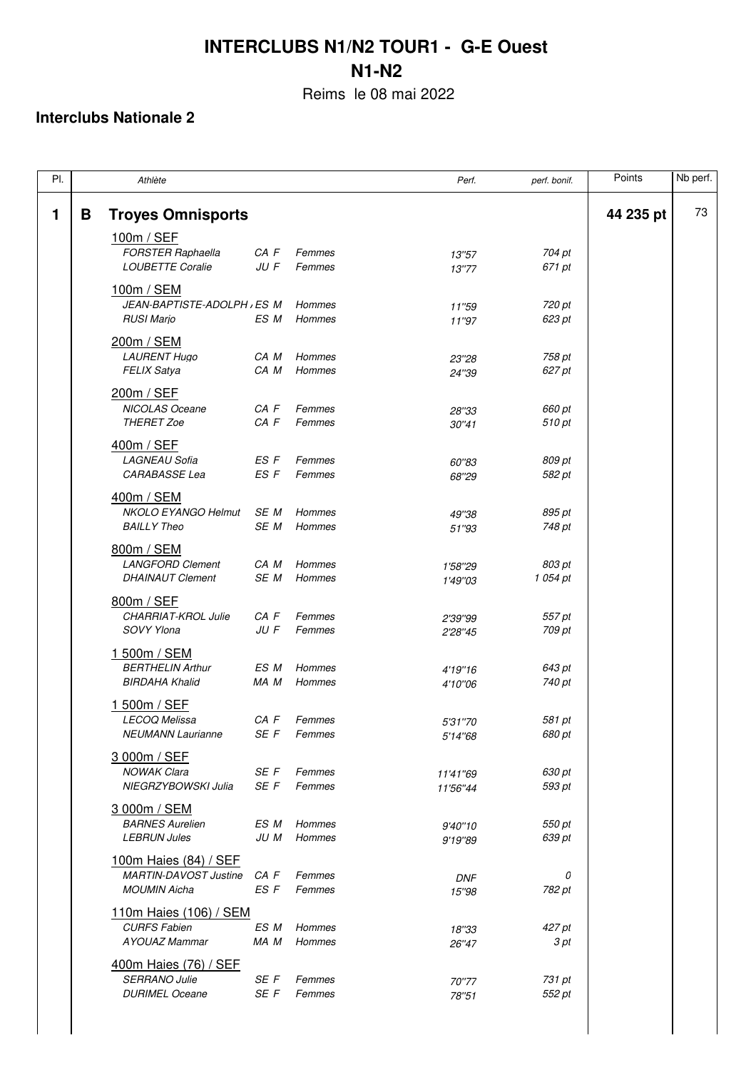Reims le 08 mai 2022

| PI. |   | Athlète                                                                      |                  |                  | Perf.                | perf. bonif.     | Points    | Nb perf. |
|-----|---|------------------------------------------------------------------------------|------------------|------------------|----------------------|------------------|-----------|----------|
| 1   | B | <b>Troyes Omnisports</b>                                                     |                  |                  |                      |                  | 44 235 pt | 73       |
|     |   | 100m / SEF<br><b>FORSTER Raphaella</b><br><b>LOUBETTE Coralie</b>            | CA F<br>JU F     | Femmes<br>Femmes | 13"57<br>13"77       | 704 pt<br>671 pt |           |          |
|     |   | 100m / SEM<br>JEAN-BAPTISTE-ADOLPH , ES M                                    |                  | Hommes           | 11"59                | 720 pt           |           |          |
|     |   | <b>RUSI Marjo</b><br>200m / SEM                                              | ES M             | Hommes           | 11"97                | 623 pt           |           |          |
|     |   | <b>LAURENT Hugo</b><br><b>FELIX Satya</b>                                    | CA M<br>CA M     | Hommes<br>Hommes | 23"28<br>24"39       | 758 pt<br>627 pt |           |          |
|     |   | 200m / SEF<br><b>NICOLAS Oceane</b><br><b>THERET Zoe</b>                     | CA F<br>CA F     | Femmes<br>Femmes | 28"33<br>30"41       | 660 pt<br>510 pt |           |          |
|     |   | 400m / SEF                                                                   |                  |                  |                      |                  |           |          |
|     |   | <b>LAGNEAU Sofia</b><br>CARABASSE Lea                                        | ES F<br>ES F     | Femmes<br>Femmes | 60"83<br>68"29       | 809 pt<br>582 pt |           |          |
|     |   | 400m / SEM<br><b>NKOLO EYANGO Helmut</b><br><b>BAILLY Theo</b>               | SE M<br>SE M     | Hommes<br>Hommes | 49"38<br>51"93       | 895 pt<br>748 pt |           |          |
|     |   | 800m / SEM<br><b>LANGFORD Clement</b>                                        | CA M             | Hommes           |                      | 803 pt           |           |          |
|     |   | <b>DHAINAUT Clement</b>                                                      | SE M             | Hommes           | 1'58"29<br>1'49"03   | 1 054 pt         |           |          |
|     |   | 800m / SEF<br>CHARRIAT-KROL Julie<br>SOVY Ylona                              | CA F<br>$JU$ $F$ | Femmes<br>Femmes | 2'39"99<br>2'28"45   | 557 pt<br>709 pt |           |          |
|     |   | 1 500m / SEM<br><b>BERTHELIN Arthur</b><br><b>BIRDAHA Khalid</b>             | ES M<br>MA M     | Hommes<br>Hommes | 4'19"16<br>4'10"06   | 643 pt<br>740 pt |           |          |
|     |   | 1 500m / SEF<br>LECOQ Melissa<br><b>NEUMANN Laurianne</b>                    | CA F<br>SE F     | Femmes<br>Femmes | 5'31"70<br>5'14"68   | 581 pt<br>680 pt |           |          |
|     |   | 3 000m / SEF<br><b>NOWAK Clara</b><br>NIEGRZYBOWSKI Julia                    | SE F<br>SE F     | Femmes<br>Femmes | 11'41"69<br>11'56"44 | 630 pt<br>593 pt |           |          |
|     |   | 3 000m / SEM<br><b>BARNES Aurelien</b><br><b>LEBRUN Jules</b>                | ES M<br>JU M     | Hommes<br>Hommes | 9'40"10<br>9'19"89   | 550 pt<br>639 pt |           |          |
|     |   | 100m Haies (84) / SEF<br><b>MARTIN-DAVOST Justine</b><br><b>MOUMIN Aicha</b> | CA F<br>ES F     | Femmes<br>Femmes | <b>DNF</b><br>15"98  | 0<br>782 pt      |           |          |
|     |   | 110m Haies (106) / SEM<br><b>CURFS Fabien</b><br><b>AYOUAZ Mammar</b>        | ES M<br>MA M     | Hommes<br>Hommes | 18"33<br>26"47       | 427 pt<br>3 pt   |           |          |
|     |   | 400m Haies (76) / SEF<br><b>SERRANO Julie</b><br><b>DURIMEL Oceane</b>       | SE F<br>SE F     | Femmes<br>Femmes | 70"77<br>78"51       | 731 pt<br>552 pt |           |          |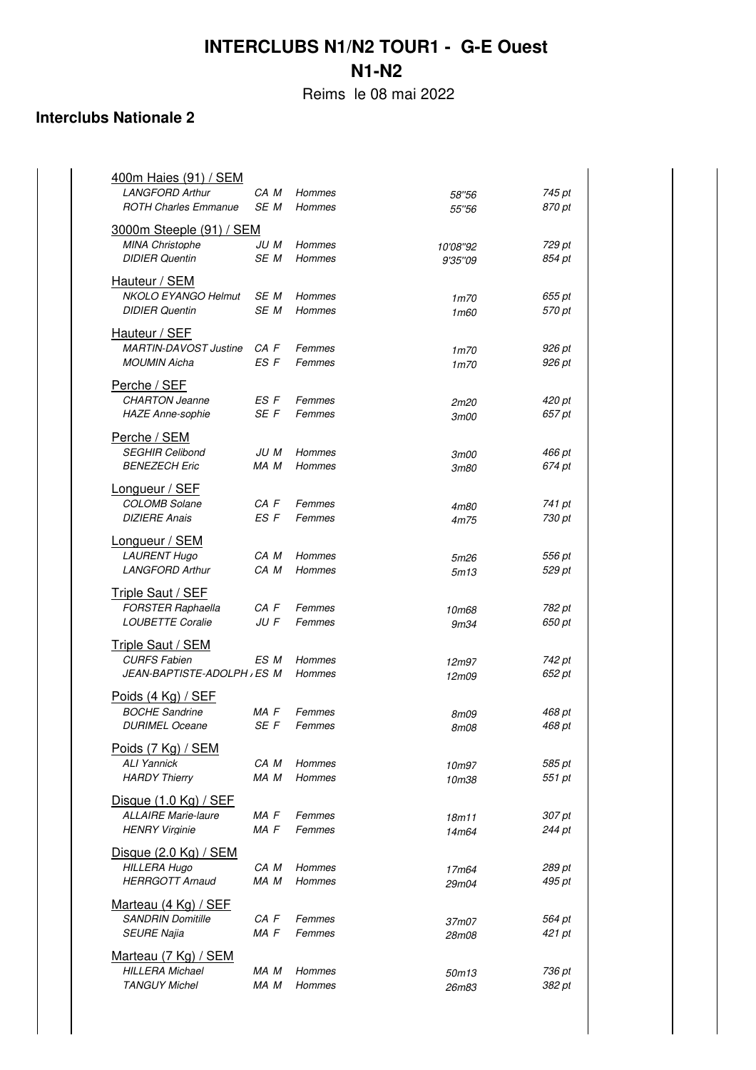Reims le 08 mai 2022

| 400m Haies (91) / SEM<br><b>LANGFORD Arthur</b>           | CA M         | Hommes           | 58"56               | 745 pt           |
|-----------------------------------------------------------|--------------|------------------|---------------------|------------------|
| <b>ROTH Charles Emmanue</b>                               | SE M         | <b>Hommes</b>    | 55"56               | 870 pt           |
| <b>3000m Steeple (91) / SEM</b><br><b>MINA Christophe</b> | JU M         | Hommes           | 10'08"92            | 729 pt           |
| <b>DIDIER Quentin</b>                                     | SE M         | Hommes           | 9'35"09             | 854 pt           |
| Hauteur / SEM                                             |              |                  |                     |                  |
| <b>NKOLO EYANGO Helmut</b><br><b>DIDIER Quentin</b>       | SE M<br>SE M | Hommes<br>Hommes | 1m70<br>1m60        | 655 pt<br>570 pt |
| Hauteur / SEF                                             |              |                  |                     |                  |
| <b>MARTIN-DAVOST Justine</b>                              | CA F         | Femmes           | 1m70                | 926 pt           |
| <b>MOUMIN Aicha</b>                                       | ES F         | Femmes           | 1m70                | 926 pt           |
| Perche / SEF<br><b>CHARTON Jeanne</b>                     | ES F         | Femmes           | 2m20                | 420 pt           |
| <b>HAZE Anne-sophie</b>                                   | SE F         | Femmes           | <i>3m00</i>         | 657 pt           |
| Perche / SEM                                              |              |                  |                     |                  |
| <b>SEGHIR Celibond</b><br><b>BENEZECH Eric</b>            | JU M<br>MA M | Hommes<br>Hommes | 3m00<br><i>3m80</i> | 466 pt<br>674 pt |
| Longueur / SEF                                            |              |                  |                     |                  |
| <b>COLOMB Solane</b>                                      | CA F         | Femmes           | 4m80                | 741 pt           |
| <b>DIZIERE Anais</b>                                      | ES F         | Femmes           | 4m75                | 730 pt           |
| Longueur / SEM<br><b>LAURENT Hugo</b>                     | CA M         | Hommes           | 5m26                | 556 pt           |
| <b>LANGFORD Arthur</b>                                    | CA M         | Hommes           | 5m13                | 529 pt           |
| <b>Triple Saut / SEF</b>                                  |              |                  |                     |                  |
| <b>FORSTER Raphaella</b><br><b>LOUBETTE Coralie</b>       | CA F<br>JU F | Femmes<br>Femmes | 10m68<br>9m34       | 782 pt<br>650 pt |
| <b>Triple Saut / SEM</b>                                  |              |                  |                     |                  |
| <b>CURFS Fabien</b><br>JEAN-BAPTISTE-ADOLPH , ES M        | ES M         | Hommes           | 12m97               | 742 pt           |
|                                                           |              | Hommes           | 12m09               | 652 pt           |
| Poids (4 Kg) / SEF<br><b>BOCHE Sandrine</b>               | MA F         | Femmes           | 8m09                | 468 pt           |
| <b>DURIMEL Oceane</b>                                     | SE F         | Femmes           | 8m08                | 468 pt           |
| Poids (7 Kg) / SEM<br><b>ALI Yannick</b>                  | CA M         | Hommes           |                     | 585 pt           |
| <b>HARDY Thierry</b>                                      | MA M         | Hommes           | 10m97<br>10m38      | 551 pt           |
| Disque $(1.0 \text{ Kg})$ / SEF                           |              |                  |                     |                  |
| <b>ALLAIRE Marie-laure</b><br><b>HENRY Virginie</b>       | MA F<br>MA F | Femmes<br>Femmes | 18m11<br>14m64      | 307 pt<br>244 pt |
| Disque $(2.0 \text{ Kg})$ / SEM                           |              |                  |                     |                  |
| <b>HILLERA Hugo</b>                                       | CA M         | <b>Hommes</b>    | 17m64               | 289 pt           |
| <b>HERRGOTT Arnaud</b>                                    | MA M         | Hommes           | 29m04               | 495 pt           |
| Marteau (4 Kg) / SEF<br><b>SANDRIN Domitille</b>          | CA F         | Femmes           | 37m07               | 564 pt           |
| <b>SEURE Najia</b>                                        | MA F         | Femmes           | 28m08               | 421 pt           |
| Marteau (7 Kg) / SEM                                      |              |                  |                     |                  |
| <b>HILLERA Michael</b><br><b>TANGUY Michel</b>            | MA M<br>MA M | Hommes<br>Hommes | 50m13<br>26m83      | 736 pt<br>382 pt |
|                                                           |              |                  |                     |                  |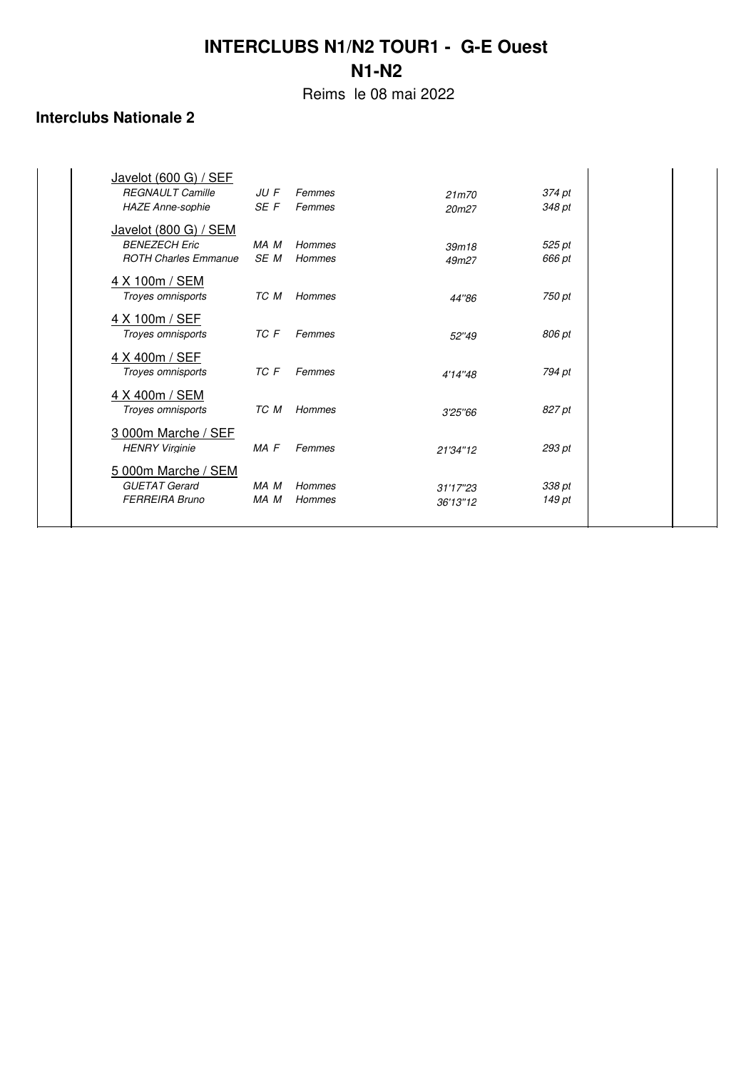Reims le 08 mai 2022

| Javelot (600 G) / SEF<br><b>REGNAULT Camille</b><br><b>HAZE Anne-sophie</b>  | JU F<br>SE F | Femmes<br>Femmes | 21m70<br>20m27       | 374 pt<br>348 pt |  |
|------------------------------------------------------------------------------|--------------|------------------|----------------------|------------------|--|
| Javelot (800 G) / SEM<br><b>BENEZECH Eric</b><br><b>ROTH Charles Emmanue</b> | MA M<br>SE M | Hommes<br>Hommes | 39m18<br>49m27       | 525 pt<br>666 pt |  |
| 4 X 100m / SEM<br>Troyes omnisports                                          | TC M         | Hommes           | 44"86                | 750 pt           |  |
| 4 X 100m / SEF<br>Troyes omnisports                                          | TC F         | Femmes           | 52"49                | 806 pt           |  |
| 4 X 400m / SEF<br>Troyes omnisports                                          | TC F         | Femmes           | 4'14"48              | 794 pt           |  |
| 4 X 400m / SEM<br>Troves omnisports                                          | TC M         | Hommes           | 3'25"66              | 827 pt           |  |
| 3 000m Marche / SEF<br><b>HENRY Virginie</b>                                 | MA F         | Femmes           | 21'34"12             | 293 pt           |  |
| 5 000m Marche / SEM<br><b>GUETAT Gerard</b><br><b>FERREIRA Bruno</b>         | MA M<br>MA M | Hommes<br>Hommes | 31'17"23<br>36'13"12 | 338 pt<br>149 pt |  |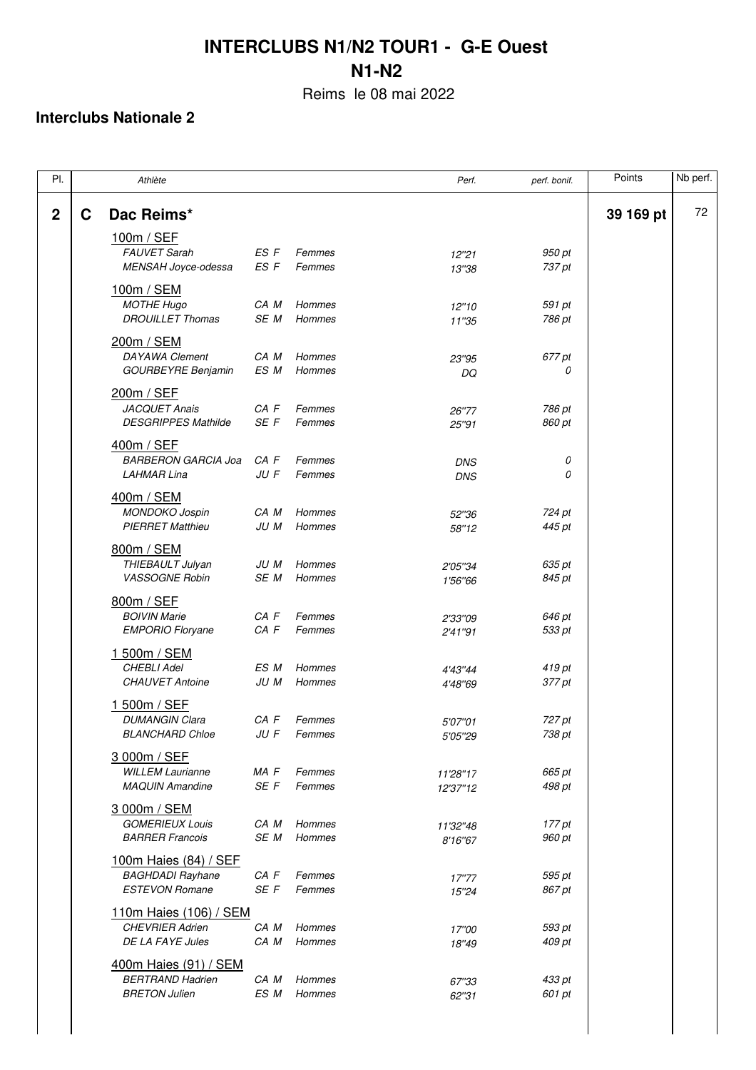Reims le 08 mai 2022

| PI.              |   | Athlète                                                                   |              |                         | Perf.                    | perf. bonif.     | Points    | Nb perf. |
|------------------|---|---------------------------------------------------------------------------|--------------|-------------------------|--------------------------|------------------|-----------|----------|
| $\boldsymbol{2}$ | С | Dac Reims*                                                                |              |                         |                          |                  | 39 169 pt | 72       |
|                  |   | 100m / SEF<br><b>FAUVET Sarah</b><br>MENSAH Joyce-odessa                  | ES F<br>ES F | Femmes<br>Femmes        | 12"21<br>13"38           | 950 pt<br>737 pt |           |          |
|                  |   | <u>100m / SEM</u><br><b>MOTHE Hugo</b><br><b>DROUILLET Thomas</b>         | CA M<br>SE M | Hommes<br>Hommes        | 12"10<br>11"35           | 591 pt<br>786 pt |           |          |
|                  |   | 200m / SEM<br><b>DAYAWA Clement</b><br><b>GOURBEYRE Benjamin</b>          | CA M<br>ES M | Hommes<br>Hommes        | 23"95<br>DQ              | 677 pt<br>0      |           |          |
|                  |   | 200m / SEF<br><b>JACQUET Anais</b><br><b>DESGRIPPES Mathilde</b>          | CA F<br>SE F | Femmes<br>Femmes        | 26"77<br>25"91           | 786 pt<br>860 pt |           |          |
|                  |   | 400m / SEF<br><b>BARBERON GARCIA Joa</b><br><b>LAHMAR Lina</b>            | CA F<br>JU F | Femmes<br>Femmes        | <b>DNS</b><br><b>DNS</b> | 0<br>0           |           |          |
|                  |   | 400m / SEM<br><b>MONDOKO Jospin</b><br><b>PIERRET Matthieu</b>            | CA M<br>JU M | Hommes<br>Hommes        | 52"36<br>58"12           | 724 pt<br>445 pt |           |          |
|                  |   | 800m / SEM<br>THIEBAULT Julyan<br><b>VASSOGNE Robin</b>                   | JU M<br>SE M | Hommes<br>Hommes        | 2'05"34<br>1'56"66       | 635 pt<br>845 pt |           |          |
|                  |   | 800m / SEF<br><b>BOIVIN Marie</b><br><b>EMPORIO Floryane</b>              | CA F<br>CA F | Femmes<br>Femmes        | 2'33"09<br>2'41"91       | 646 pt<br>533 pt |           |          |
|                  |   | 1 500m / SEM<br><b>CHEBLI Adel</b><br><b>CHAUVET Antoine</b>              | ES M<br>JU M | <b>Hommes</b><br>Hommes | 4'43"44<br>4'48"69       | 419 pt<br>377 pt |           |          |
|                  |   | 1 500m / SEF<br><b>DUMANGIN Clara</b><br><b>BLANCHARD Chloe</b>           | CA F<br>JU F | Femmes<br>Femmes        | 5'07"01<br>5'05"29       | 727 pt<br>738 pt |           |          |
|                  |   | 3 000m / SEF<br><b>WILLEM Laurianne</b><br><b>MAQUIN Amandine</b>         | MA F<br>SE F | Femmes<br>Femmes        | 11'28"17<br>12'37"12     | 665 pt<br>498 pt |           |          |
|                  |   | 3 000m / SEM<br><b>GOMERIEUX Louis</b><br><b>BARRER Francois</b>          | CA M<br>SE M | Hommes<br>Hommes        | 11'32"48<br>8'16"67      | 177 pt<br>960 pt |           |          |
|                  |   | 100m Haies (84) / SEF<br><b>BAGHDADI Rayhane</b><br><b>ESTEVON Romane</b> | CA F<br>SE F | Femmes<br>Femmes        | 17"77<br>15"24           | 595 pt<br>867 pt |           |          |
|                  |   | 110m Haies (106) / SEM<br><b>CHEVRIER Adrien</b><br>DE LA FAYE Jules      | CA M<br>CA M | Hommes<br>Hommes        | 17"00<br>18"49           | 593 pt<br>409 pt |           |          |
|                  |   | 400m Haies (91) / SEM<br><b>BERTRAND Hadrien</b><br><b>BRETON Julien</b>  | CA M<br>ES M | Hommes<br>Hommes        | 67"33<br>62"31           | 433 pt<br>601 pt |           |          |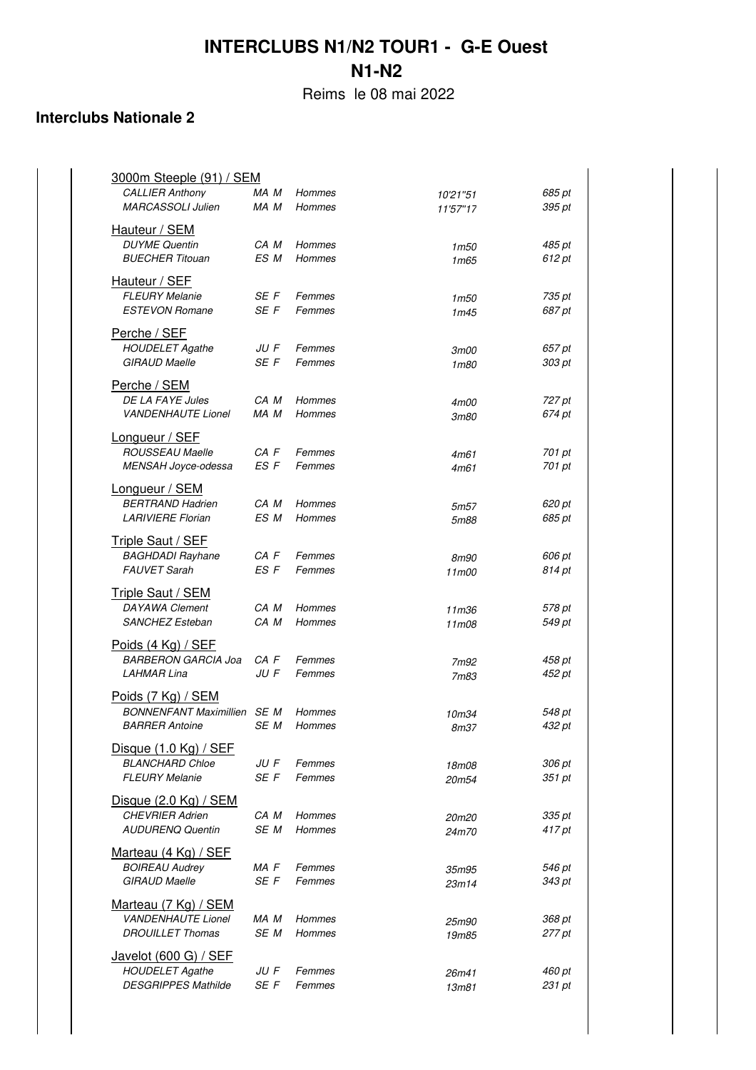Reims le 08 mai 2022

| <u>3000m Steeple (91) / SEM</u><br><b>CALLIER Anthony</b><br><b>MARCASSOLI Julien</b> | MA M<br>MA M | Hommes<br>Hommes | 10'21"51<br>11'57"17     | 685 pt<br>395 pt |
|---------------------------------------------------------------------------------------|--------------|------------------|--------------------------|------------------|
| Hauteur / SEM<br><b>DUYME Quentin</b><br><b>BUECHER Titouan</b>                       | CA M<br>ES M | Hommes<br>Hommes | 1m50<br>1 <sub>m65</sub> | 485 pt<br>612 pt |
| Hauteur / SEF<br><b>FLEURY Melanie</b><br><b>ESTEVON Romane</b>                       | SE F<br>SE F | Femmes<br>Femmes | 1m50<br>1m45             | 735 pt<br>687 pt |
| Perche / SEF<br><b>HOUDELET Agathe</b><br><b>GIRAUD Maelle</b>                        | JU F<br>SE F | Femmes<br>Femmes | 3m00<br>1m80             | 657 pt<br>303 pt |
| Perche / SEM<br>DE LA FAYE Jules<br><b>VANDENHAUTE Lionel</b>                         | CA M<br>MA M | Hommes<br>Hommes | 4m00<br><i>3m80</i>      | 727 pt<br>674 pt |
| Longueur / SEF<br><b>ROUSSEAU Maelle</b><br>MENSAH Jovce-odessa                       | CA F<br>ES F | Femmes<br>Femmes | 4m61<br>4m61             | 701 pt<br>701 pt |
| Longueur / SEM<br><b>BERTRAND Hadrien</b><br><b>LARIVIERE Florian</b>                 | CA M<br>ES M | Hommes<br>Hommes | 5m57<br>5m88             | 620 pt<br>685 pt |
| <b>Triple Saut / SEF</b><br><b>BAGHDADI Rayhane</b><br><b>FAUVET Sarah</b>            | CA F<br>ES F | Femmes<br>Femmes | <i>8m90</i><br>11m00     | 606 pt<br>814 pt |
| <b>Triple Saut / SEM</b><br>DAYAWA Clement<br><b>SANCHEZ Esteban</b>                  | CA M<br>CA M | Hommes<br>Hommes | 11m36<br>11m08           | 578 pt<br>549 pt |
| Poids (4 Kg) / SEF<br><b>BARBERON GARCIA Joa</b><br><b>LAHMAR Lina</b>                | CA F<br>JU F | Femmes<br>Femmes | 7m92<br>7m83             | 458 pt<br>452 pt |
| Poids (7 Kg) / SEM<br><b>BONNENFANT Maximillien</b> SE M<br><b>BARRER Antoine</b>     | SE M         | Hommes<br>Hommes | 10m34<br>8m37            | 548 pt<br>432 pt |
| Disque (1.0 Kg) / SEF<br><b>BLANCHARD Chloe</b><br><b>FLEURY Melanie</b>              | JU F<br>SE F | Femmes<br>Femmes | 18m08<br>20m54           | 306 pt<br>351 pt |
| <u>Disque (2.0 Kg) / SEM</u><br><b>CHEVRIER Adrien</b><br><b>AUDURENQ Quentin</b>     | CA M<br>SE M | Hommes<br>Hommes | 20m20<br>24m70           | 335 pt<br>417 pt |
| Marteau (4 Kg) / SEF<br><b>BOIREAU Audrey</b><br><b>GIRAUD Maelle</b>                 | MA F<br>SE F | Femmes<br>Femmes | 35m95<br>23m14           | 546 pt<br>343 pt |
| Marteau (7 Kg) / SEM<br><b>VANDENHAUTE Lionel</b><br><b>DROUILLET Thomas</b>          | MA M<br>SE M | Hommes<br>Hommes | 25m90<br>19m85           | 368 pt<br>277 pt |
| Javelot (600 G) / SEF<br><b>HOUDELET Agathe</b><br><b>DESGRIPPES Mathilde</b>         | JU F<br>SE F | Femmes<br>Femmes | 26m41<br>13m81           | 460 pt<br>231 pt |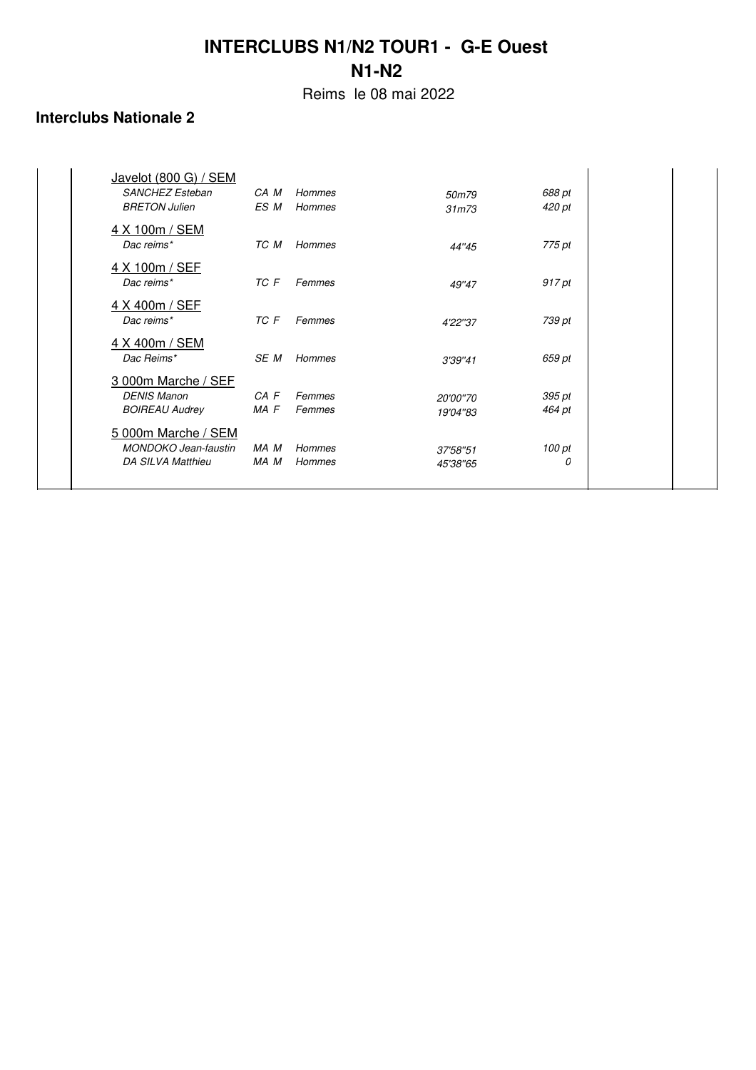Reims le 08 mai 2022

| Javelot (800 G) / SEM       |          |               |                    |        |  |
|-----------------------------|----------|---------------|--------------------|--------|--|
| SANCHEZ Esteban             | CA M     | <b>Hommes</b> | 50m79              | 688 pt |  |
| <b>BRETON Julien</b>        | ES M     | Hommes        | 31 <sub>m</sub> 73 | 420 pt |  |
| 4 X 100m / SEM              |          |               |                    |        |  |
| Dac reims*                  | TC M     | Hommes        | 44"45              | 775 pt |  |
| 4 X 100m / SEF              |          |               |                    |        |  |
| Dac reims*                  | TC F     | Femmes        | 49"47              | 917 pt |  |
| 4 X 400m / SEF              |          |               |                    |        |  |
| Dac reims*                  | TC F     | Femmes        | 4'22"37            | 739 pt |  |
| 4 X 400m / SEM              |          |               |                    |        |  |
| Dac Reims*                  | SE M     | <b>Hommes</b> | 3'39"41            | 659 pt |  |
| 3 000m Marche / SEF         |          |               |                    |        |  |
| <b>DENIS Manon</b>          | $CA$ $F$ | Femmes        | 20'00"70           | 395 pt |  |
| <b>BOIREAU Audrey</b>       | MA F     | Femmes        | 19'04"83           | 464 pt |  |
| 5 000m Marche / SEM         |          |               |                    |        |  |
| <b>MONDOKO</b> Jean-faustin | MA M     | <b>Hommes</b> | 37'58"51           | 100 pt |  |
| DA SILVA Matthieu           | MA M     | <b>Hommes</b> | 45'38"65           | 0      |  |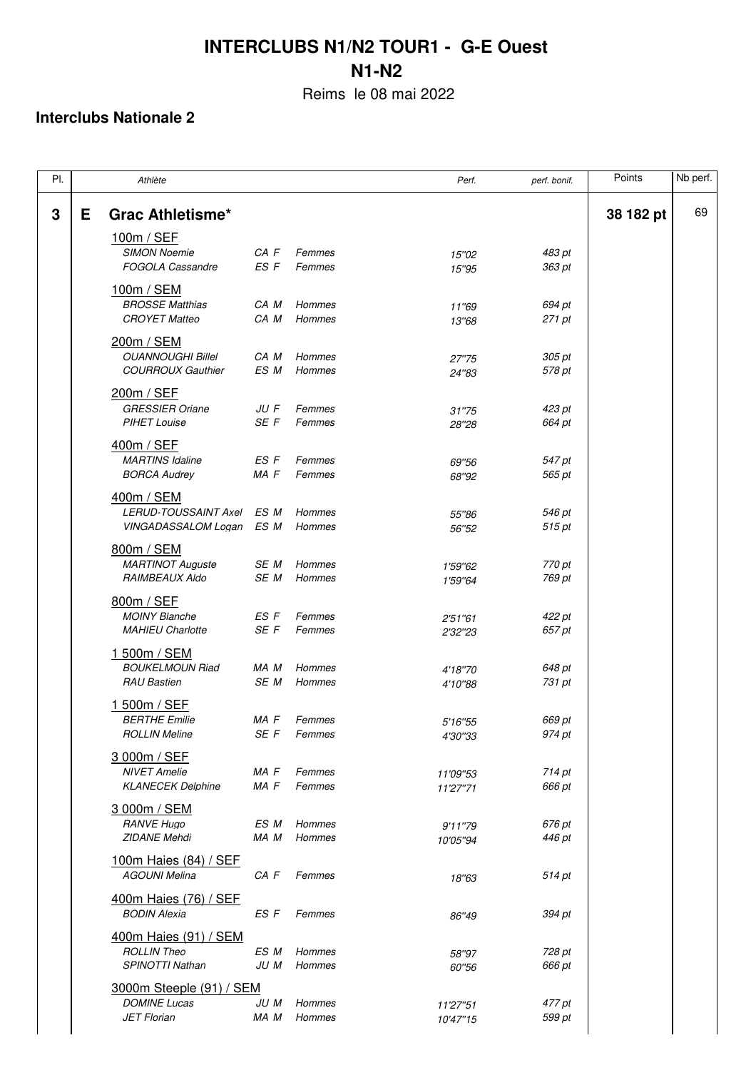Reims le 08 mai 2022

| PI. |    | Athlète                                          |              |                  | Perf.                | perf. bonif.     | Points    | Nb perf. |
|-----|----|--------------------------------------------------|--------------|------------------|----------------------|------------------|-----------|----------|
| 3   | E. | <b>Grac Athletisme*</b>                          |              |                  |                      |                  | 38 182 pt | 69       |
|     |    | 100m / SEF                                       |              |                  |                      |                  |           |          |
|     |    | <b>SIMON Noemie</b>                              | CA F         | Femmes           | 15"02                | 483 pt           |           |          |
|     |    | <b>FOGOLA Cassandre</b>                          | ES F         | Femmes           | 15"95                | 363 pt           |           |          |
|     |    | 100m / SEM                                       |              |                  |                      |                  |           |          |
|     |    | <b>BROSSE Matthias</b>                           | CA M         | Hommes           | 11"69                | 694 pt           |           |          |
|     |    | <b>CROYET Matteo</b>                             | CA M         | Hommes           | 13"68                | 271 pt           |           |          |
|     |    | 200m / SEM                                       |              |                  |                      |                  |           |          |
|     |    | <b>OUANNOUGHI Billel</b>                         | CA M         | Hommes           | 27"75                | 305 pt           |           |          |
|     |    | <b>COURROUX Gauthier</b>                         | ES M         | Hommes           | 24"83                | 578 pt           |           |          |
|     |    |                                                  |              |                  |                      |                  |           |          |
|     |    | 200m / SEF<br><b>GRESSIER Oriane</b>             | JU F         | Femmes           |                      | 423 pt           |           |          |
|     |    | <b>PIHET Louise</b>                              | SE F         | Femmes           | 31"75<br>28"28       | 664 pt           |           |          |
|     |    |                                                  |              |                  |                      |                  |           |          |
|     |    | 400m / SEF<br><b>MARTINS Idaline</b>             | ES F         | Femmes           |                      |                  |           |          |
|     |    | <b>BORCA Audrey</b>                              | MA F         | Femmes           | 69"56<br>68"92       | 547 pt<br>565 pt |           |          |
|     |    |                                                  |              |                  |                      |                  |           |          |
|     |    | 400m / SEM                                       |              |                  |                      |                  |           |          |
|     |    | LERUD-TOUSSAINT Axel<br>VINGADASSALOM Logan      | ES M<br>ES M | Hommes<br>Hommes | 55"86<br>56"52       | 546 pt<br>515 pt |           |          |
|     |    |                                                  |              |                  |                      |                  |           |          |
|     |    | 800m / SEM                                       |              |                  |                      |                  |           |          |
|     |    | <b>MARTINOT Auguste</b><br><b>RAIMBEAUX Aldo</b> | SE M<br>SE M | Hommes<br>Hommes | 1'59"62              | 770 pt<br>769 pt |           |          |
|     |    |                                                  |              |                  | 1'59"64              |                  |           |          |
|     |    | 800m / SEF                                       |              |                  |                      |                  |           |          |
|     |    | <b>MOINY Blanche</b>                             | ES F<br>SE F | Femmes<br>Femmes | 2'51"61              | 422 pt           |           |          |
|     |    | <b>MAHIEU Charlotte</b>                          |              |                  | 2'32"23              | 657 pt           |           |          |
|     |    | 1 500m / SEM                                     |              |                  |                      |                  |           |          |
|     |    | <b>BOUKELMOUN Riad</b>                           | MA M         | Hommes           | 4'18"70              | 648 pt           |           |          |
|     |    | <b>RAU Bastien</b>                               | SE M         | Hommes           | 4'10"88              | 731 pt           |           |          |
|     |    | 1 500m / SEF                                     |              |                  |                      |                  |           |          |
|     |    | <b>BERTHE Emilie</b>                             | MA F         | Femmes           | 5'16"55              | 669 pt           |           |          |
|     |    | <b>ROLLIN Meline</b>                             | SE F         | Femmes           | 4'30"33              | 974 pt           |           |          |
|     |    | 3 000m / SEF                                     |              |                  |                      |                  |           |          |
|     |    | <b>NIVET Amelie</b>                              | MA F         | Femmes           | 11'09"53             | 714 pt           |           |          |
|     |    | <b>KLANECEK Delphine</b>                         | MA F         | Femmes           | 11'27"71             | 666 pt           |           |          |
|     |    | 3 000m / SEM                                     |              |                  |                      |                  |           |          |
|     |    | <b>RANVE Hugo</b>                                | ES M         | Hommes           | 9'11"79              | 676 pt           |           |          |
|     |    | <b>ZIDANE Mehdi</b>                              | MA M         | Hommes           | 10'05"94             | 446 pt           |           |          |
|     |    | 100m Haies (84) / SEF                            |              |                  |                      |                  |           |          |
|     |    | <b>AGOUNI Melina</b>                             | CA F         | Femmes           | 18"63                | 514 pt           |           |          |
|     |    | 400m Haies (76) / SEF                            |              |                  |                      |                  |           |          |
|     |    | <b>BODIN Alexia</b>                              | ES F         | Femmes           | 86"49                | 394 pt           |           |          |
|     |    |                                                  |              |                  |                      |                  |           |          |
|     |    | 400m Haies (91) / SEM<br><b>ROLLIN Theo</b>      | ES M         | Hommes           |                      |                  |           |          |
|     |    | SPINOTTI Nathan                                  | JU M         | Hommes           | 58"97<br>60"56       | 728 pt<br>666 pt |           |          |
|     |    |                                                  |              |                  |                      |                  |           |          |
|     |    | 3000m Steeple (91) / SEM<br><b>DOMINE Lucas</b>  |              | Hommes           |                      |                  |           |          |
|     |    | <b>JET Florian</b>                               | JU M<br>MA M | Hommes           | 11'27"51<br>10'47"15 | 477 pt<br>599 pt |           |          |
|     |    |                                                  |              |                  |                      |                  |           |          |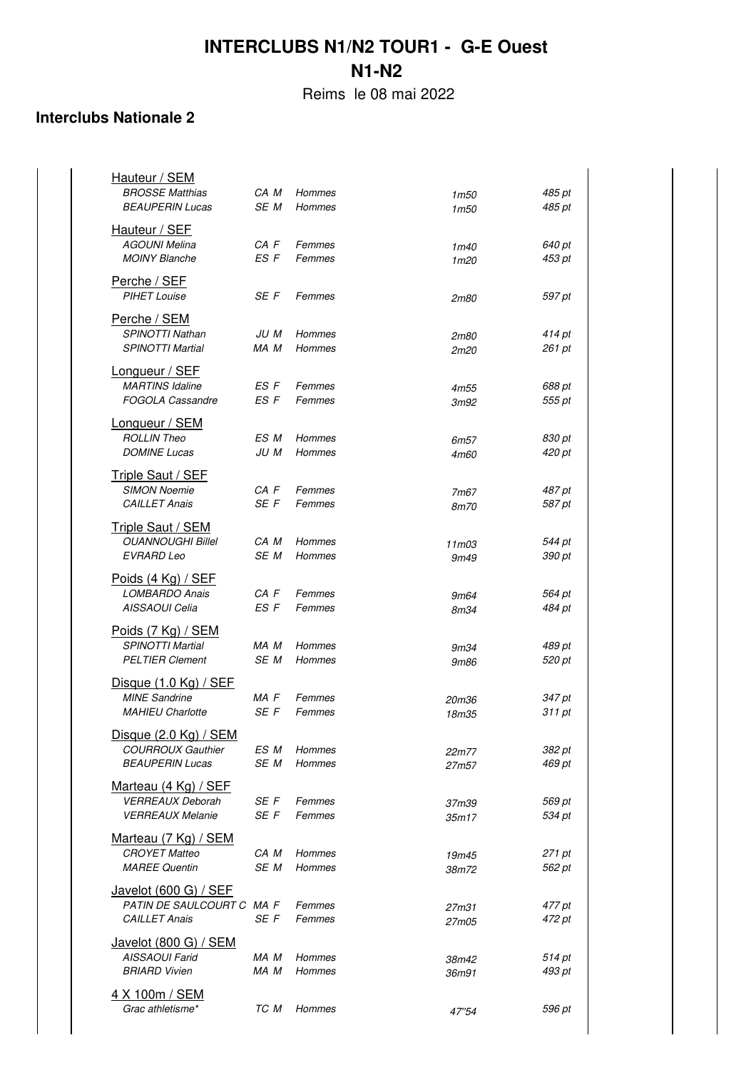Reims le 08 mai 2022

| Hauteur / SEM<br><b>BROSSE Matthias</b><br><b>BEAUPERIN Lucas</b>                  | CA M<br>SE M | Hommes<br><b>Hommes</b> | 1m50<br>1m50             | 485 pt<br>485 pt |
|------------------------------------------------------------------------------------|--------------|-------------------------|--------------------------|------------------|
| Hauteur / SEF<br><b>AGOUNI Melina</b><br><b>MOINY Blanche</b>                      | CA F<br>ES F | Femmes<br>Femmes        | 1m40<br>1 <sub>m20</sub> | 640 pt<br>453 pt |
| Perche / SEF<br><b>PIHET Louise</b>                                                | SE F         | Femmes                  | 2m80                     | 597 pt           |
| Perche / SEM<br><b>SPINOTTI Nathan</b><br><b>SPINOTTI Martial</b>                  | JU M<br>MA M | Hommes<br><b>Hommes</b> | 2m80<br>2m20             | 414 pt<br>261 pt |
| Longueur / SEF<br><b>MARTINS Idaline</b><br><b>FOGOLA Cassandre</b>                | ES F<br>ES F | Femmes<br>Femmes        | 4m55<br>3m92             | 688 pt<br>555 pt |
| Longueur / SEM<br><b>ROLLIN Theo</b>                                               | ES M         | Hommes                  | 6m57                     | 830 pt           |
| <b>DOMINE Lucas</b><br>Triple Saut / SEF<br><b>SIMON Noemie</b>                    | JU M<br>CA F | Hommes<br>Femmes        | 4m60<br>7m67             | 420 pt<br>487 pt |
| <b>CAILLET Anais</b>                                                               | SE F         | Femmes                  | 8m70                     | 587 pt           |
| <b>Triple Saut / SEM</b><br><b>OUANNOUGHI Billel</b><br><b>EVRARD Leo</b>          | CA M<br>SE M | Hommes<br>Hommes        | 11m03<br>9m49            | 544 pt<br>390 pt |
| Poids (4 Kg) / SEF<br><b>LOMBARDO Anais</b><br>AISSAOUI Celia                      | CA F<br>ES F | Femmes<br>Femmes        | 9m64<br>8m34             | 564 pt<br>484 pt |
| Poids (7 Kg) / SEM<br>SPINOTTI Martial<br><b>PELTIER Clement</b>                   | MA M<br>SE M | Hommes<br><b>Hommes</b> | 9m34<br>9m86             | 489 pt<br>520 pt |
| Disque $(1.0 \text{ Kg})$ / SEF<br><b>MINE Sandrine</b><br><b>MAHIEU Charlotte</b> | MA F<br>SE F | Femmes<br>Femmes        | 20m36<br>18m35           | 347 pt<br>311 pt |
| Disque (2.0 Kg) / SEM                                                              |              |                         |                          |                  |
| <b>COURROUX Gauthier</b><br><b>BEAUPERIN Lucas</b>                                 | ES M<br>SE M | Hommes<br>Hommes        | 22m77<br>27m57           | 382 pt<br>469 pt |
| Marteau (4 Kg) / SEF<br><b>VERREAUX Deborah</b><br><b>VERREAUX Melanie</b>         | SE F<br>SE F | Femmes<br>Femmes        | 37m39<br>35m17           | 569 pt<br>534 pt |
| Marteau (7 Kg) / SEM<br><b>CROYET Matteo</b><br><b>MAREE Quentin</b>               | CA M<br>SE M | Hommes<br>Hommes        | 19m45<br>38m72           | 271 pt<br>562 pt |
| Javelot (600 G) / SEF<br>PATIN DE SAULCOURT C MA F<br><b>CAILLET Anais</b>         | SE F         | Femmes<br>Femmes        | 27m31<br>27m05           | 477 pt<br>472 pt |
| Javelot (800 G) / SEM<br><b>AISSAOUI Farid</b><br><b>BRIARD Vivien</b>             | MA M<br>MA M | Hommes<br>Hommes        | 38m42<br>36m91           | 514 pt<br>493 pt |
| 4 X 100m / SEM<br>Grac athletisme*                                                 | TC M         | Hommes                  | 47"54                    | 596 pt           |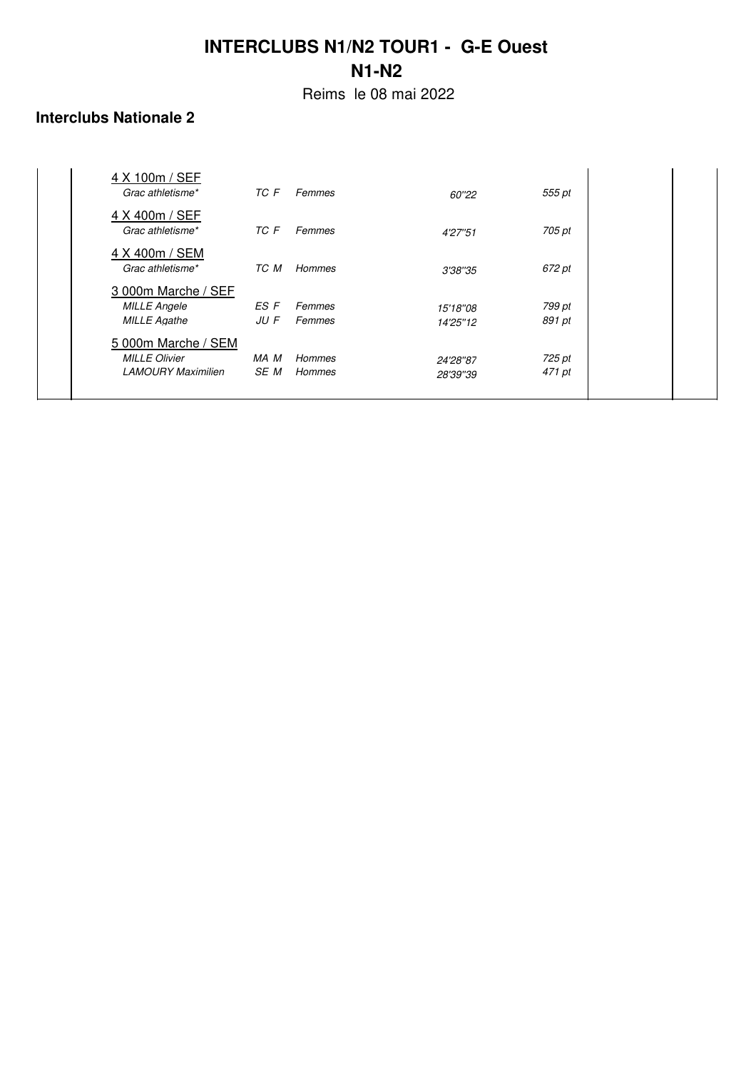Reims le 08 mai 2022

### **Interclubs Nationale 2**

| 4 X 100m / SEF<br>Grac athletisme*                                       | TC F         | Femmes           | 60"22                | 555 pt           |  |
|--------------------------------------------------------------------------|--------------|------------------|----------------------|------------------|--|
| 4 X 400m / SEF<br>Grac athletisme*                                       | TC F         | Femmes           | 4'27"51              | 705 pt           |  |
| 4 X 400m / SEM<br>Grac athletisme*                                       | TC M         | Hommes           | 3'38"35              | 672 pt           |  |
| 3 000m Marche / SEF<br><b>MILLE Angele</b><br><b>MILLE Agathe</b>        | ES F<br>JU F | Femmes<br>Femmes | 15'18"08<br>14'25"12 | 799 pt<br>891 pt |  |
| 5 000m Marche / SEM<br><b>MILLE Olivier</b><br><b>LAMOURY Maximilien</b> | MA M<br>SE M | Hommes<br>Hommes | 24'28"87<br>28'39"39 | 725 pt<br>471 pt |  |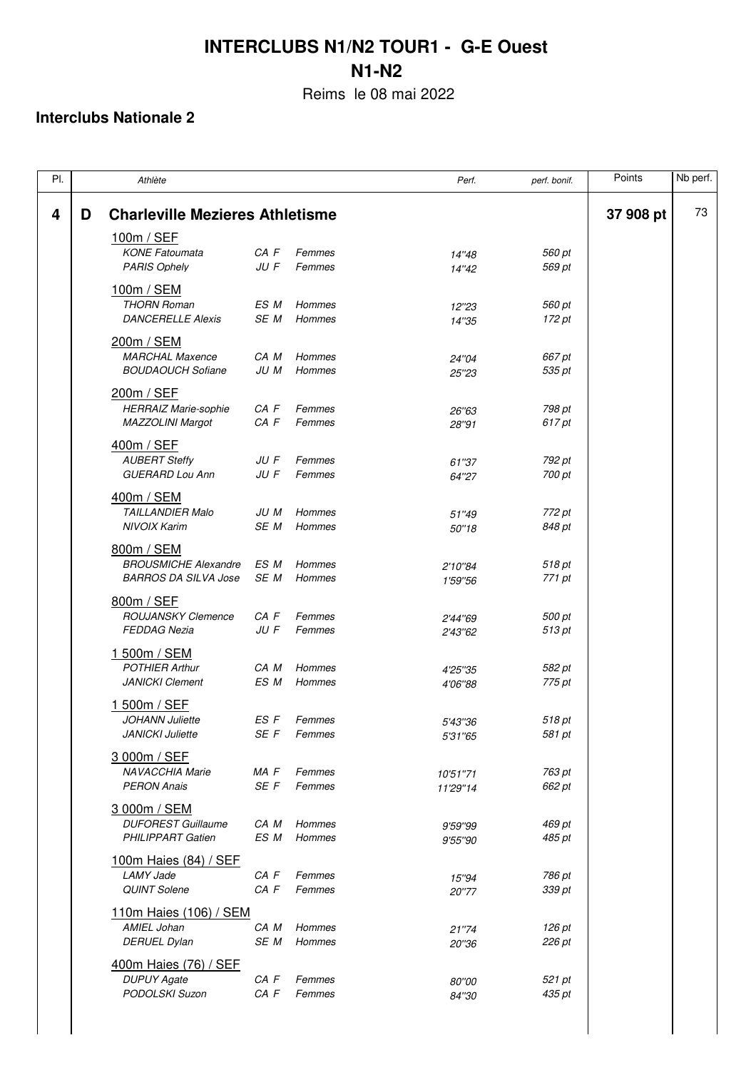Reims le 08 mai 2022

| PI. |   | Athlète                                                                  |                  |                  | Perf.                | perf. bonif.     | Points    | Nb perf. |
|-----|---|--------------------------------------------------------------------------|------------------|------------------|----------------------|------------------|-----------|----------|
| 4   | D | <b>Charleville Mezieres Athletisme</b>                                   |                  |                  |                      |                  | 37 908 pt | 73       |
|     |   | 100m / SEF<br><b>KONE Fatoumata</b><br><b>PARIS Ophely</b>               | CA F<br>JU F     | Femmes<br>Femmes | 14"48                | 560 pt<br>569 pt |           |          |
|     |   | 100m / SEM<br><b>THORN Roman</b><br><b>DANCERELLE Alexis</b>             | ES M<br>SE M     | Hommes<br>Hommes | 14"42<br>12"23       | 560 pt           |           |          |
|     |   | 200m / SEM<br><b>MARCHAL Maxence</b>                                     | CA M             | Hommes           | 14"35<br>24"04       | 172 pt<br>667 pt |           |          |
|     |   | <b>BOUDAOUCH Sofiane</b><br>200m / SEF                                   | JU M             | Hommes           | 25"23                | 535 pt           |           |          |
|     |   | <b>HERRAIZ Marie-sophie</b><br>MAZZOLINI Margot                          | CA F<br>CA F     | Femmes<br>Femmes | 26"63<br>28"91       | 798 pt<br>617 pt |           |          |
|     |   | 400m / SEF<br><b>AUBERT Steffy</b><br><b>GUERARD Lou Ann</b>             | JU F<br>JU F     | Femmes<br>Femmes | 61"37<br>64"27       | 792 pt<br>700 pt |           |          |
|     |   | 400m / SEM<br><b>TAILLANDIER Malo</b><br><b>NIVOIX Karim</b>             | JU M<br>SE M     | Hommes<br>Hommes | 51"49<br>50"18       | 772 pt<br>848 pt |           |          |
|     |   | 800m / SEM<br><b>BROUSMICHE Alexandre</b><br><b>BARROS DA SILVA Jose</b> | ES M<br>SE M     | Hommes<br>Hommes | 2'10"84              | 518 pt<br>771 pt |           |          |
|     |   | 800m / SEF<br><b>ROUJANSKY Clemence</b>                                  | CA F             | Femmes           | 1'59"56<br>2'44"69   | 500 pt           |           |          |
|     |   | <b>FEDDAG Nezia</b><br>1 500m / SEM<br><b>POTHIER Arthur</b>             | JU F<br>CA M     | Femmes<br>Hommes | 2'43"62              | 513 pt<br>582 pt |           |          |
|     |   | <b>JANICKI Clement</b><br>1 500m / SEF                                   | ES M             | Hommes           | 4'25"35<br>4'06"88   | 775 pt           |           |          |
|     |   | <b>JOHANN Juliette</b><br><b>JANICKI Juliette</b>                        | ES F<br>SE F     | Femmes<br>Femmes | 5'43"36<br>5'31"65   | 518 pt<br>581 pt |           |          |
|     |   | 3 000m / SEF<br><b>NAVACCHIA Marie</b><br><b>PERON Anais</b>             | MA F<br>SE F     | Femmes<br>Femmes | 10'51"71<br>11'29"14 | 763 pt<br>662 pt |           |          |
|     |   | 3 000m / SEM<br><b>DUFOREST Guillaume</b><br><b>PHILIPPART Gatien</b>    | CA M<br>ES M     | Hommes<br>Hommes | 9'59"99<br>9'55"90   | 469 pt<br>485 pt |           |          |
|     |   | 100m Haies (84) / SEF<br><b>LAMY Jade</b><br><b>QUINT Solene</b>         | CA F<br>$CA$ $F$ | Femmes<br>Femmes | 15"94<br>20"77       | 786 pt<br>339 pt |           |          |
|     |   | 110m Haies (106) / SEM<br>AMIEL Johan<br><b>DERUEL Dylan</b>             | CA M<br>SE M     | Hommes<br>Hommes | 21"74<br>20"36       | 126 pt<br>226 pt |           |          |
|     |   | 400m Haies (76) / SEF<br><b>DUPUY Agate</b><br>PODOLSKI Suzon            | CA F<br>CA F     | Femmes<br>Femmes | 80"00<br>84"30       | 521 pt<br>435 pt |           |          |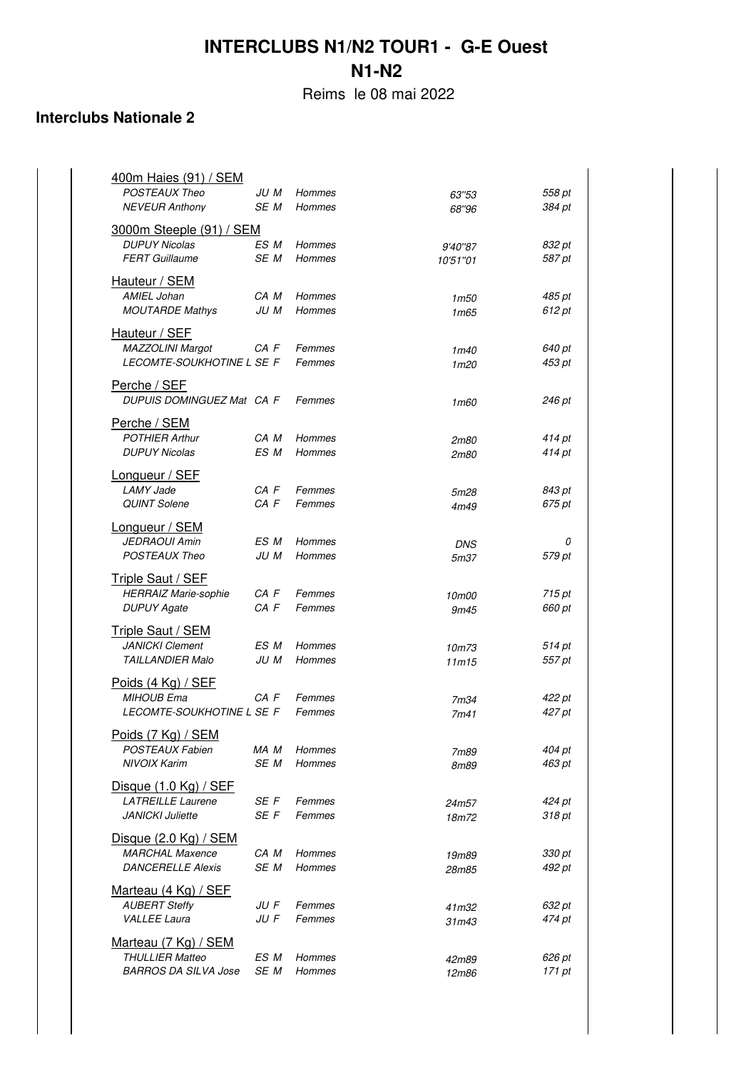Reims le 08 mai 2022

| / SEM<br><u>400m Haies (91)</u> |      |        |                  |        |
|---------------------------------|------|--------|------------------|--------|
| <b>POSTEAUX Theo</b>            | JU M | Hommes | 63"53            | 558 pt |
| <b>NEVEUR Anthony</b>           | SE M | Hommes | 68"96            | 384 pt |
|                                 |      |        |                  |        |
| <b>3000m Steeple (91) / SEM</b> |      |        |                  |        |
| <b>DUPUY Nicolas</b>            | ES M | Hommes | 9'40"87          | 832 pt |
| <b>FERT Guillaume</b>           | SE M | Hommes | 10'51"01         | 587 pt |
| Hauteur / SEM                   |      |        |                  |        |
| AMIEL Johan                     | CA M | Hommes | 1m50             | 485 pt |
| <b>MOUTARDE Mathys</b>          | JU M | Hommes | 1m65             | 612 pt |
|                                 |      |        |                  |        |
| Hauteur / SEF                   |      |        |                  |        |
| MAZZOLINI Margot                | CA F | Femmes | 1m40             | 640 pt |
| LECOMTE-SOUKHOTINE L SE F       |      | Femmes | 1 <sub>m20</sub> | 453 pt |
|                                 |      |        |                  |        |
| Perche / SEF                    |      |        |                  |        |
| DUPUIS DOMINGUEZ Mat CA F       |      | Femmes | 1m60             | 246 pt |
| Perche / SEM                    |      |        |                  |        |
| <b>POTHIER Arthur</b>           | CA M | Hommes | 2m80             | 414 pt |
| <b>DUPUY Nicolas</b>            | ES M | Hommes | 2m80             | 414 pt |
|                                 |      |        |                  |        |
| Longueur / SEF                  |      |        |                  |        |
| LAMY Jade                       | CA F | Femmes | 5m28             | 843 pt |
| <b>QUINT Solene</b>             | CA F | Femmes | 4m49             | 675 pt |
|                                 |      |        |                  |        |
| Longueur / SEM                  |      |        |                  |        |
| <b>JEDRAOUI Amin</b>            | ES M | Hommes | <b>DNS</b>       | 0      |
| <b>POSTEAUX Theo</b>            | JU M | Hommes | 5m37             | 579 pt |
| <b>Triple Saut / SEF</b>        |      |        |                  |        |
| <b>HERRAIZ Marie-sophie</b>     | CA F | Femmes | 10m00            | 715 pt |
| <b>DUPUY Agate</b>              | CA F | Femmes | 9m45             | 660 pt |
|                                 |      |        |                  |        |
| <b>Triple Saut / SEM</b>        |      |        |                  |        |
| <b>JANICKI Clement</b>          | ES M | Hommes | 10m73            | 514 pt |
| <b>TAILLANDIER Malo</b>         | JU M | Hommes | 11m15            | 557 pt |
|                                 |      |        |                  |        |
| Poids (4 Kg) / SEF              |      |        |                  |        |
| <b>MIHOUB Ema</b>               | CA F | Femmes | 7m34             | 422 pt |
| LECOMTE-SOUKHOTINE L SE F       |      | Femmes | 7m41             | 427 pt |
| Poids (7 Kg) / SEM              |      |        |                  |        |
| <b>POSTEAUX Fabien</b>          | MA M | Hommes | 7m89             | 404 pt |
| <b>NIVOIX Karim</b>             | SE M | Hommes | 8m89             | 463 pt |
|                                 |      |        |                  |        |
| Disque $(1.0 \text{ Kg})$ / SEF |      |        |                  |        |
| <b>LATREILLE Laurene</b>        | SE F | Femmes | 24m57            | 424 pt |
| <b>JANICKI Juliette</b>         | SE F | Femmes | 18m72            | 318 pt |
|                                 |      |        |                  |        |
| Disque $(2.0 \text{ Kg})$ / SEM |      |        |                  |        |
| <b>MARCHAL Maxence</b>          | CA M | Hommes | 19m89            | 330 pt |
| <b>DANCERELLE Alexis</b>        | SE M | Hommes | 28m85            | 492 pt |
| Marteau (4 Kg) / SEF            |      |        |                  |        |
| <b>AUBERT Steffy</b>            | JU F | Femmes |                  | 632 pt |
| <b>VALLEE Laura</b>             | JU F | Femmes | 41m32<br>31m43   | 474 pt |
|                                 |      |        |                  |        |
| Marteau (7 Kg) / SEM            |      |        |                  |        |
| <b>THULLIER Matteo</b>          | ES M | Hommes | 42m89            | 626 pt |
| <b>BARROS DA SILVA Jose</b>     | SE M | Hommes | 12m86            | 171 pt |
|                                 |      |        |                  |        |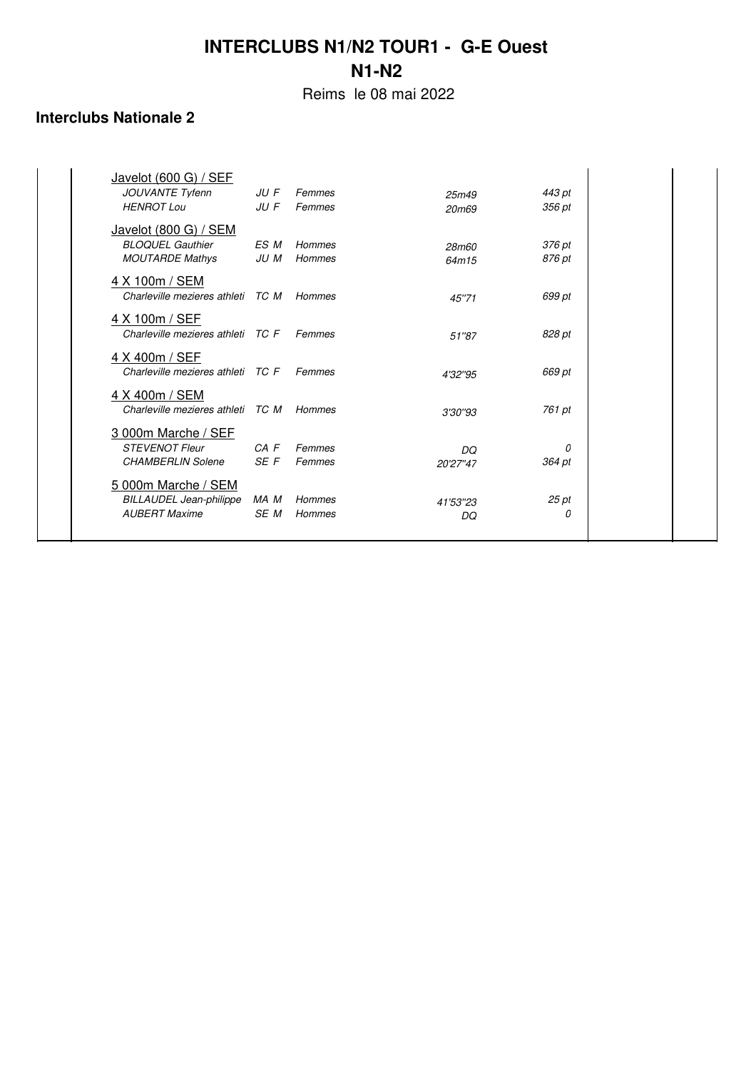Reims le 08 mai 2022

| Javelot (600 G) / SEF             |          |        |          |        |
|-----------------------------------|----------|--------|----------|--------|
| JOUVANTE Tyfenn                   | JU F     | Femmes | 25m49    | 443 pt |
| <b>HENROT Lou</b>                 | $JU$ $F$ | Femmes | 20m69    | 356 pt |
| Javelot (800 G) / SEM             |          |        |          |        |
| <b>BLOQUEL Gauthier</b>           | ES M     | Hommes | 28m60    | 376 pt |
| <b>MOUTARDE Mathys</b>            | JU M     | Hommes | 64m15    | 876 pt |
| 4 X 100m / SEM                    |          |        |          |        |
| Charleville mezieres athleti TC M |          | Hommes | 45"71    | 699 pt |
| 4 X 100m / SEF                    |          |        |          |        |
| Charleville mezieres athleti TC F |          | Femmes | 51"87    | 828 pt |
|                                   |          |        |          |        |
| 4 X 400m / SEF                    |          |        |          |        |
| Charleville mezieres athleti TC F |          | Femmes | 4'32"95  | 669 pt |
| 4 X 400m / SEM                    |          |        |          |        |
| Charleville mezieres athleti TC M |          | Hommes | 3'30"93  | 761 pt |
| 3 000m Marche / SEF               |          |        |          |        |
| <b>STEVENOT Fleur</b>             | $CA$ $F$ | Femmes | DQ       | 0      |
| <b>CHAMBERLIN Solene</b>          | SE F     | Femmes | 20'27"47 | 364 pt |
| 5 000m Marche / SEM               |          |        |          |        |
| <b>BILLAUDEL Jean-philippe</b>    | MA M     | Hommes | 41'53"23 | 25 pt  |
| <b>AUBERT Maxime</b>              | SE M     | Hommes | DQ       | 0      |
|                                   |          |        |          |        |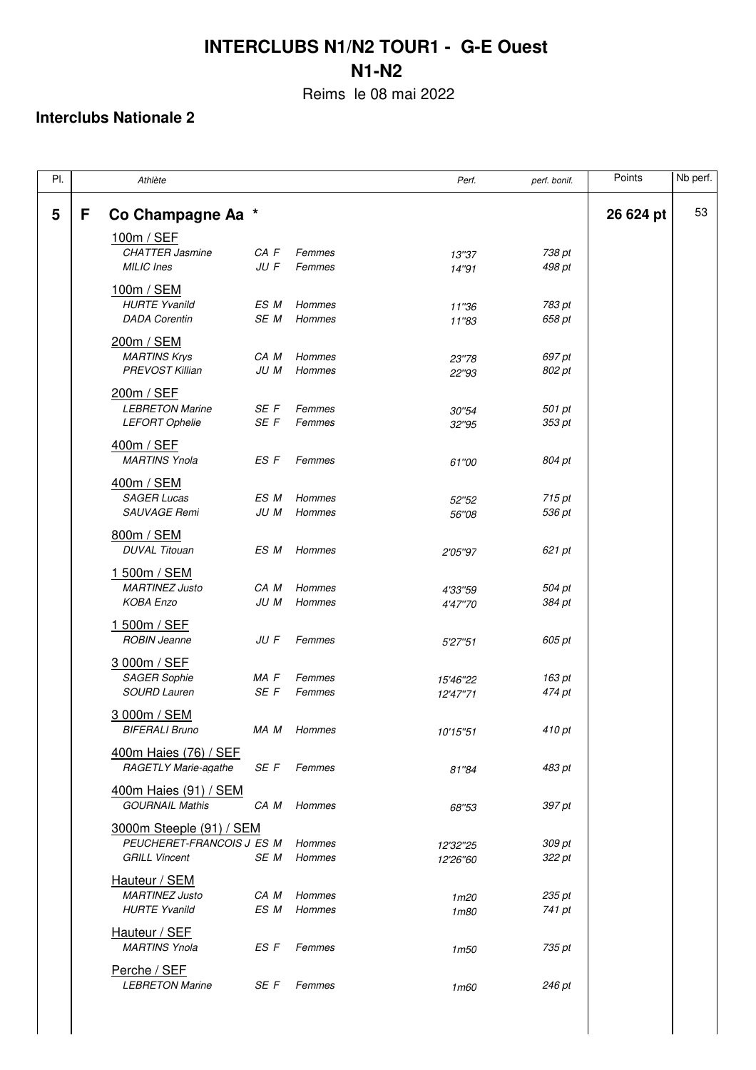Reims le 08 mai 2022

| PI. |   | Athlète                   |      |               | Perf.                | perf. bonif. | Points    | Nb perf. |
|-----|---|---------------------------|------|---------------|----------------------|--------------|-----------|----------|
| 5   | F | Co Champagne Aa *         |      |               |                      |              | 26 624 pt | 53       |
|     |   | 100m / SEF                |      |               |                      |              |           |          |
|     |   | <b>CHATTER Jasmine</b>    | CA F | Femmes        | 13"37                | 738 pt       |           |          |
|     |   | MILIC Ines                | JU F | Femmes        | 14"91                | 498 pt       |           |          |
|     |   | 100m / SEM                |      |               |                      |              |           |          |
|     |   | <b>HURTE Yvanild</b>      | ES M | Hommes        | 11"36                | 783 pt       |           |          |
|     |   | <b>DADA Corentin</b>      | SE M | Hommes        | 11"83                | 658 pt       |           |          |
|     |   |                           |      |               |                      |              |           |          |
|     |   | 200m / SEM                |      |               |                      |              |           |          |
|     |   | <b>MARTINS Krys</b>       | CA M | Hommes        | 23"78                | 697 pt       |           |          |
|     |   | PREVOST Killian           | JU M | Hommes        | 22"93                | 802 pt       |           |          |
|     |   | 200m / SEF                |      |               |                      |              |           |          |
|     |   | <b>LEBRETON Marine</b>    | SE F | Femmes        | 30"54                | 501 pt       |           |          |
|     |   | <b>LEFORT Ophelie</b>     | SE F | Femmes        | 32"95                | 353 pt       |           |          |
|     |   | 400m / SEF                |      |               |                      |              |           |          |
|     |   | <b>MARTINS Ynola</b>      | ES F | Femmes        |                      | 804 pt       |           |          |
|     |   |                           |      |               | 61"00                |              |           |          |
|     |   | 400m / SEM                |      |               |                      |              |           |          |
|     |   | <b>SAGER Lucas</b>        | ES M | Hommes        | 52"52                | 715 pt       |           |          |
|     |   | SAUVAGE Remi              | JU M | Hommes        | 56"08                | 536 pt       |           |          |
|     |   | 800m / SEM                |      |               |                      |              |           |          |
|     |   | <b>DUVAL Titouan</b>      | ES M | Hommes        | 2'05"97              | 621 pt       |           |          |
|     |   |                           |      |               |                      |              |           |          |
|     |   | 1 500m / SEM              |      |               |                      |              |           |          |
|     |   | <b>MARTINEZ Justo</b>     | CA M | Hommes        | 4'33"59              | 504 pt       |           |          |
|     |   | <b>KOBA Enzo</b>          | JU M | Hommes        | 4'47"70              | 384 pt       |           |          |
|     |   | 1 500m / SEF              |      |               |                      |              |           |          |
|     |   | <b>ROBIN Jeanne</b>       | JU F | Femmes        | 5'27"51              | 605 pt       |           |          |
|     |   | 3 000m / SEF              |      |               |                      |              |           |          |
|     |   | <b>SAGER Sophie</b>       | MA F | Femmes        |                      | 163 pt       |           |          |
|     |   | <b>SOURD Lauren</b>       | SE F | Femmes        | 15'46"22<br>12'47"71 | 474 pt       |           |          |
|     |   |                           |      |               |                      |              |           |          |
|     |   | 3 000m / SEM              |      |               |                      |              |           |          |
|     |   | <b>BIFERALI Bruno</b>     | MA M | Hommes        | 10'15"51             | 410 pt       |           |          |
|     |   | 400m Haies (76) / SEF     |      |               |                      |              |           |          |
|     |   | RAGETLY Marie-agathe      | SE F | Femmes        | 81"84                | 483 pt       |           |          |
|     |   |                           |      |               |                      |              |           |          |
|     |   | 400m Haies (91) / SEM     |      |               |                      |              |           |          |
|     |   | <b>GOURNAIL Mathis</b>    | CA M | Hommes        | 68"53                | 397 pt       |           |          |
|     |   | 3000m Steeple (91) / SEM  |      |               |                      |              |           |          |
|     |   | PEUCHERET-FRANCOIS J ES M |      | Hommes        | 12'32"25             | 309 pt       |           |          |
|     |   | <b>GRILL Vincent</b>      | SE M | <b>Hommes</b> | 12'26"60             | 322 pt       |           |          |
|     |   | Hauteur / SEM             |      |               |                      |              |           |          |
|     |   | <b>MARTINEZ Justo</b>     | CA M | Hommes        | 1 <sub>m20</sub>     | 235 pt       |           |          |
|     |   | <b>HURTE Yvanild</b>      | ES M | Hommes        | 1m80                 | 741 pt       |           |          |
|     |   |                           |      |               |                      |              |           |          |
|     |   | Hauteur / SEF             |      |               |                      |              |           |          |
|     |   | <b>MARTINS Ynola</b>      | ES F | Femmes        | 1m50                 | 735 pt       |           |          |
|     |   | Perche / SEF              |      |               |                      |              |           |          |
|     |   | <b>LEBRETON Marine</b>    | SE F | Femmes        | 1m60                 | 246 pt       |           |          |
|     |   |                           |      |               |                      |              |           |          |